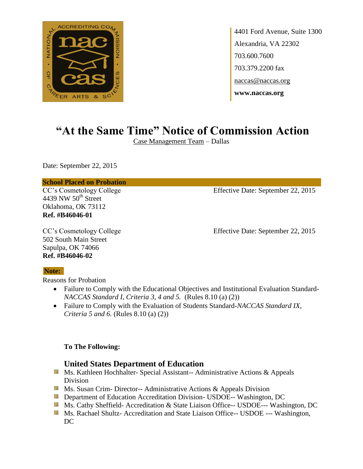

4401 Ford Avenue, Suite 1300 Alexandria, VA 22302 703.600.7600 703.379.2200 fax naccas@naccas.org **www.naccas.org**

# **"At the Same Time" Notice of Commission Action**

Case Management Team – Dallas

Date: September 22, 2015

#### **School Placed on Probation**

4439 NW  $50<sup>th</sup>$  Street Oklahoma, OK 73112 **Ref. #B46046-01**

CC's Cosmetology College Effective Date: September 22, 2015

502 South Main Street Sapulpa, OK 74066 **Ref. #B46046-02**

CC's Cosmetology College Effective Date: September 22, 2015

#### **Note:**

Reasons for Probation

- Failure to Comply with the Educational Objectives and Institutional Evaluation Standard-*NACCAS Standard I, Criteria 3, 4 and 5.* (Rules 8.10 (a) (2))
- Failure to Comply with the Evaluation of Students Standard-*NACCAS Standard IX, Criteria 5 and 6.* (Rules 8.10 (a) (2))

#### **To The Following:**

#### **United States Department of Education**

- **Ms. Kathleen Hochhalter- Special Assistant-- Administrative Actions & Appeals** Division
- **Ms.** Susan Crim-Director-- Administrative Actions  $\&$  Appeals Division
- **External Department of Education Accreditation Division- USDOE-- Washington, DC**
- Ms. Cathy Sheffield- Accreditation & State Liaison Office-- USDOE--- Washington, DC
- **MS. Rachael Shultz- Accreditation and State Liaison Office-- USDOE --- Washington,** DC